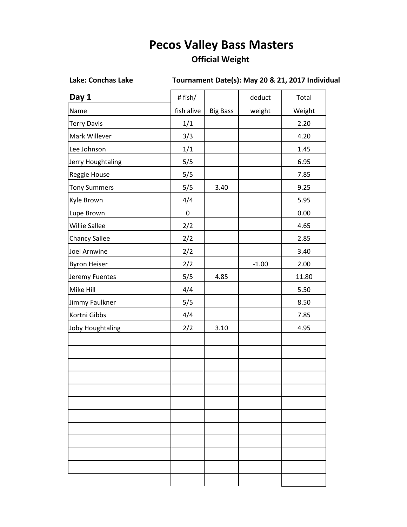## **Pecos Valley Bass Masters**

## **Official Weight**

**Lake: Conchas Lake Tournament Date(s): May 20 & 21, 2017 Individual** 

| Day 1                   | # fish/    |                 | deduct  | Total  |
|-------------------------|------------|-----------------|---------|--------|
| Name                    | fish alive | <b>Big Bass</b> | weight  | Weight |
| <b>Terry Davis</b>      | 1/1        |                 |         | 2.20   |
| Mark Willever           | 3/3        |                 |         | 4.20   |
| Lee Johnson             | 1/1        |                 |         | 1.45   |
| Jerry Houghtaling       | 5/5        |                 |         | 6.95   |
| Reggie House            | 5/5        |                 |         | 7.85   |
| <b>Tony Summers</b>     | 5/5        | 3.40            |         | 9.25   |
| Kyle Brown              | 4/4        |                 |         | 5.95   |
| Lupe Brown              | $\pmb{0}$  |                 |         | 0.00   |
| Willie Sallee           | 2/2        |                 |         | 4.65   |
| Chancy Sallee           | 2/2        |                 |         | 2.85   |
| Joel Arnwine            | 2/2        |                 |         | 3.40   |
| <b>Byron Heiser</b>     | 2/2        |                 | $-1.00$ | 2.00   |
| Jeremy Fuentes          | 5/5        | 4.85            |         | 11.80  |
| Mike Hill               | 4/4        |                 |         | 5.50   |
| Jimmy Faulkner          | 5/5        |                 |         | 8.50   |
| Kortni Gibbs            | 4/4        |                 |         | 7.85   |
| <b>Joby Houghtaling</b> | 2/2        | 3.10            |         | 4.95   |
|                         |            |                 |         |        |
|                         |            |                 |         |        |
|                         |            |                 |         |        |
|                         |            |                 |         |        |
|                         |            |                 |         |        |
|                         |            |                 |         |        |
|                         |            |                 |         |        |
|                         |            |                 |         |        |
|                         |            |                 |         |        |
|                         |            |                 |         |        |
|                         |            |                 |         |        |
|                         |            |                 |         |        |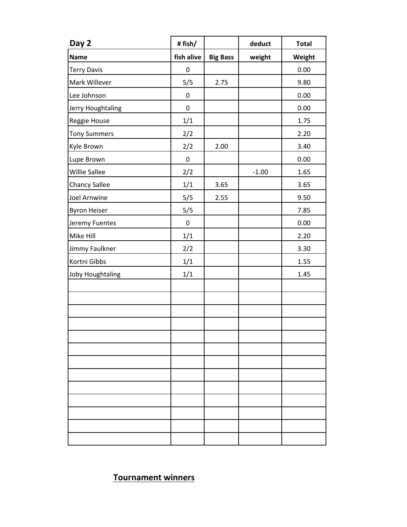| Day 2                   | #fish/     |                 | deduct  | <b>Total</b> |
|-------------------------|------------|-----------------|---------|--------------|
| <b>Name</b>             | fish alive | <b>Big Bass</b> | weight  | Weight       |
| <b>Terry Davis</b>      | $\pmb{0}$  |                 |         | 0.00         |
| Mark Willever           | 5/5        | 2.75            |         | 9.80         |
| Lee Johnson             | $\pmb{0}$  |                 |         | 0.00         |
| Jerry Houghtaling       | $\pmb{0}$  |                 |         | 0.00         |
| Reggie House            | 1/1        |                 |         | 1.75         |
| <b>Tony Summers</b>     | 2/2        |                 |         | 2.20         |
| Kyle Brown              | 2/2        | 2.00            |         | 3.40         |
| Lupe Brown              | $\pmb{0}$  |                 |         | 0.00         |
| Willie Sallee           | 2/2        |                 | $-1.00$ | 1.65         |
| <b>Chancy Sallee</b>    | 1/1        | 3.65            |         | 3.65         |
| Joel Arnwine            | 5/5        | 2.55            |         | 9.50         |
| <b>Byron Heiser</b>     | 5/5        |                 |         | 7.85         |
| Jeremy Fuentes          | $\pmb{0}$  |                 |         | 0.00         |
| Mike Hill               | 1/1        |                 |         | 2.20         |
| Jimmy Faulkner          | 2/2        |                 |         | 3.30         |
| Kortni Gibbs            | 1/1        |                 |         | 1.55         |
| <b>Joby Houghtaling</b> | 1/1        |                 |         | 1.45         |
|                         |            |                 |         |              |
|                         |            |                 |         |              |
|                         |            |                 |         |              |
|                         |            |                 |         |              |
|                         |            |                 |         |              |
|                         |            |                 |         |              |
|                         |            |                 |         |              |
|                         |            |                 |         |              |
|                         |            |                 |         |              |
|                         |            |                 |         |              |
|                         |            |                 |         |              |
|                         |            |                 |         |              |
|                         |            |                 |         |              |

**Tournament winners**